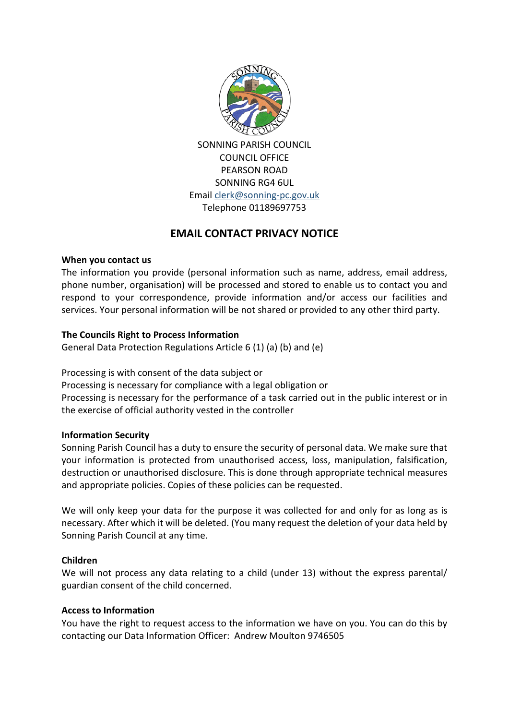

SONNING PARISH COUNCIL COUNCIL OFFICE PEARSON ROAD SONNING RG4 6UL Email [clerk@sonning-pc.gov.uk](mailto:clerk@sonning-pc.gov.uk) Telephone 01189697753

# **EMAIL CONTACT PRIVACY NOTICE**

# **When you contact us**

The information you provide (personal information such as name, address, email address, phone number, organisation) will be processed and stored to enable us to contact you and respond to your correspondence, provide information and/or access our facilities and services. Your personal information will be not shared or provided to any other third party.

# **The Councils Right to Process Information**

General Data Protection Regulations Article 6 (1) (a) (b) and (e)

Processing is with consent of the data subject or

Processing is necessary for compliance with a legal obligation or

Processing is necessary for the performance of a task carried out in the public interest or in the exercise of official authority vested in the controller

# **Information Security**

Sonning Parish Council has a duty to ensure the security of personal data. We make sure that your information is protected from unauthorised access, loss, manipulation, falsification, destruction or unauthorised disclosure. This is done through appropriate technical measures and appropriate policies. Copies of these policies can be requested.

We will only keep your data for the purpose it was collected for and only for as long as is necessary. After which it will be deleted. (You many request the deletion of your data held by Sonning Parish Council at any time.

## **Children**

We will not process any data relating to a child (under 13) without the express parental/ guardian consent of the child concerned.

# **Access to Information**

You have the right to request access to the information we have on you. You can do this by contacting our Data Information Officer: Andrew Moulton 9746505